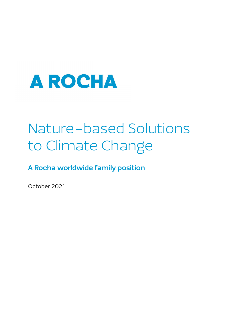

# Nature-based Solutions to Climate Change

**A Rocha worldwide family position**

October 2021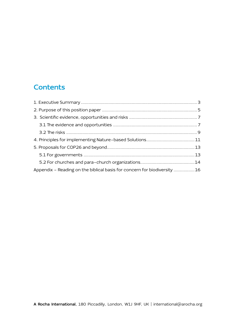# **Contents**

| Appendix - Reading on the biblical basis for concern for biodiversity 16 |  |
|--------------------------------------------------------------------------|--|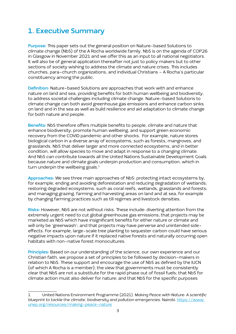## <span id="page-2-0"></span>**1. Executive Summary**

**Purpose:** This paper sets out the general position on Nature-based Solutions to climate change (NbS) of the A Rocha worldwide family. NbS is on the agenda of COP26 in Glasgow in November 2021 and we offer this as an input to all national negotiators. It will also be of general application thereafter not just to policy makers but to other sections of society wishing to address the climate and nature crises. This includes churches, para-church organizations, and individual Christians - A Rocha's particular constituency among the public.

**Definition:** Nature-based Solutions are approaches that work with and enhance nature on land and sea, providing benefits for both human wellbeing and biodiversity, to address societal challenges including climate change. Nature-based Solutions to climate change can both avoid greenhouse gas emissions and enhance carbon sinks on land and in the sea as well as build resilience and aid adaptation to climate change for both nature and people.

**Benefits:** NbS therefore offers multiple benefits to people, climate and nature that enhance biodiversity, promote human wellbeing, and support green economic recovery from the COVID pandemic and other shocks. For example, nature stores biological carbon in a diverse array of ecosystems, such as forests, mangroves, and grasslands. NbS that deliver larger and more connected ecosystems, and in better condition, will allow species to move and adapt in response to a changing climate. And NbS can contribute towards all the United Nations Sustainable Development Goals because nature and climate goals underpin production and consumption, which in turn underpin the wellbeing goals.<sup>1</sup>

**Approaches:** We see three main approaches of NbS: protecting intact ecosystems by, for example, ending and avoiding deforestation and reducing degradation of wetlands; restoring degraded ecosystems, such as coral reefs, wetlands, grasslands and forests; and managing grazing, farming and harvesting areas on land and at sea, for example by changing farming practices such as till regimes and livestock densities.

**Risks:** However, NbS are not without risks. These include: diverting attention from the extremely urgent need to cut global greenhouse gas emissions; that projects may be marketed as NbS which have insignificant benefits for either nature or climate and will only be 'greenwash'; and that projects may have perverse and unintended sideeffects. For example, large-scale tree planting to sequester carbon could have serious negative impacts upon nature if it replaced native forests and naturally occurring open habitats with non-native forest monocultures.

**Principles:** Based on our understanding of the science, our own experience and our Christian faith, we propose a set of principles to be followed by decision-makers in relation to NbS. These support and encourage the use of NbS as defined by the IUCN (of which A Rocha is a member); the view that governments must be consistently clear that NbS are not a substitute for the rapid phase out of fossil fuels; that NbS for climate action must also deliver for nature; and that NbS for the specific purposes

<sup>1</sup> United Nations Environment Programme (2021). *Making Peace with Nature: A scientific blueprint to tackle the climate, biodiversity and pollution emergencies.* Nairobi. https://www. unep.org/resources/making-peace-nature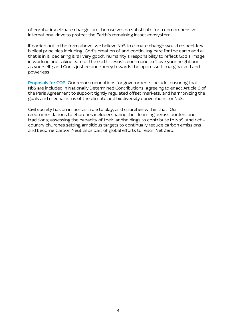of combating climate change, are themselves no substitute for a comprehensive international drive to protect the Earth's remaining intact ecosystem.

If carried out in the form above, we believe NbS to climate change would respect key biblical principles including: God's creation of and continuing care for the earth and all that is in it, declaring it 'all very good'; humanity's responsibility to reflect God's image in working and taking care of the earth; Jesus's command to 'Love your neighbour as yourself'; and God's justice and mercy towards the oppressed, marginalized and powerless.

**Proposals for COP:** Our recommendations for governments include: ensuring that NbS are included in Nationally Determined Contributions; agreeing to enact Article 6 of the Paris Agreement to support tightly regulated offset markets; and harmonizing the goals and mechanisms of the climate and biodiversity conventions for NbS.

Civil society has an important role to play, and churches within that. Our recommendations to churches include: sharing their learning across borders and traditions; assessing the capacity of their landholdings to contribute to NbS; and richcountry churches setting ambitious targets to continually reduce carbon emissions and become Carbon Neutral as part of global efforts to reach Net Zero.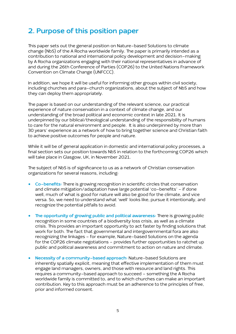### <span id="page-4-0"></span>**2. Purpose of this position paper**

This paper sets out the general position on Nature-based Solutions to climate change (NbS) of the A Rocha worldwide family. The paper is primarily intended as a contribution to national and international policy development and decision-making by A Rocha organizations engaging with their national representatives in advance of and during the 26th Conference of Parties (COP26) to the United Nations Framework Convention on Climate Change (UNFCCC).

In addition, we hope it will be useful for informing other groups within civil society, including churches and para-church organizations, about the subject of NbS and how they can deploy them appropriately.

The paper is based on our understanding of the relevant science, our practical experience of nature conservation in a context of climate change, and our understanding of the broad political and economic context in late 2021. It is underpinned by our biblical/theological understanding of the responsibility of humans to care for the natural environment and people. It is also underpinned by more than 30 years' experience as a network of how to bring together science and Christian faith to achieve positive outcomes for people and nature.

While it will be of general application in domestic and international policy processes, a final section sets our position towards NbS in relation to the forthcoming COP26 which will take place in Glasgow, UK, in November 2021.

The subject of NbS is of significance to us as a network of Christian conservation organizations for several reasons, including:

- **Co-benefits:** There is growing recognition in scientific circles that conservation and climate mitigation/adaptation have large potential 'co-benefits' - if done well, much of what is good for nature will also be good for the climate, and vice versa. So, we need to understand what 'well' looks like, pursue it intentionally, and recognize the potential pitfalls to avoid.
- **The opportunity of growing public and political awareness:** There is growing public recognition in some countries of a biodiversity loss crisis, as well as a climate crisis. This provides an important opportunity to act faster by finding solutions that work for both. The fact that governmental and intergovernmental fora are also recognizing the linkages - for example, Nature-based Solutions on the agenda for the COP26 climate negotiations - provides further opportunities to ratchet up public and political awareness and commitment to action on nature and climate.
- **Necessity of a community-based approach:** Nature-based Solutions are inherently spatially explicit, meaning that effective implementation of them must engage land managers, owners, and those with resource and land rights. This requires a community-based approach to succeed - something the A Rocha worldwide family is committed to, and to which churches can make an important contribution. Key to this approach must be an adherence to the principles of free, prior and informed consent.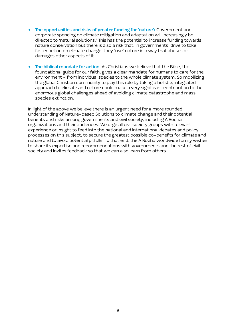- **The opportunities and risks of greater funding for 'nature':** Government and corporate spending on climate mitigation and adaptation will increasingly be directed to 'natural solutions.' This has the potential to increase funding towards nature conservation but there is also a risk that, in governments' drive to take faster action on climate change, they 'use' nature in a way that abuses or damages other aspects of it.
- **The biblical mandate for action:** As Christians we believe that the Bible, the foundational guide for our faith, gives a clear mandate for humans to care for the environment - from individual species to the whole climate system. So mobilizing the global Christian community to play this role by taking a holistic, integrated approach to climate and nature could make a very significant contribution to the enormous global challenges ahead of avoiding climate catastrophe and mass species extinction.

In light of the above we believe there is an urgent need for a more rounded understanding of Nature-based Solutions to climate change and their potential benefits and risks among governments and civil society, including A Rocha organizations and their audiences. We urge all civil society groups with relevant experience or insight to feed into the national and international debates and policy processes on this subject, to secure the greatest possible co-benefits for climate and nature and to avoid potential pitfalls. To that end, the A Rocha worldwide family wishes to share its expertise and recommendations with governments and the rest of civil society and invites feedback so that we can also learn from others.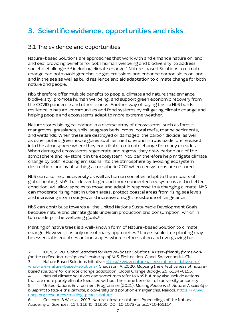# <span id="page-6-0"></span>**3. Scientific evidence, opportunities and risks**

### 3.1 The evidence and opportunities

Nature-based Solutions are approaches that work with and enhance nature on land and sea, providing benefits for both human wellbeing and biodiversity, to address societal challenges<sup>2</sup>,<sup>3</sup> including climate change.<sup>4</sup> Nature–based Solutions to climate change can both avoid greenhouse gas emissions and enhance carbon sinks on land and in the sea as well as build resilience and aid adaptation to climate change for both nature and people.

NbS therefore offer multiple benefits to people, climate and nature that enhance biodiversity, promote human wellbeing, and support green economic recovery from the COVID pandemic and other shocks. Another way of saying this is: NbS builds resilience in nature, communities and food systems by mitigating climate change and helping people and ecosystems adapt to more extreme weather.

Nature stores biological carbon in a diverse array of ecosystems, such as forests, mangroves, grasslands, soils, seagrass beds, crops, coral reefs, marine sediments, and wetlands. When these are destroyed or damaged, the carbon dioxide, as well as other potent greenhouse gases such as methane and nitrous oxide, are released into the atmosphere where they contribute to climate change for many decades. When damaged ecosystems regenerate and regrow, they draw carbon out of the atmosphere and re-store it in the ecosystem. NbS can therefore help mitigate climate change by both reducing emissions into the atmosphere by avoiding ecosystem destruction, and by absorbing atmospheric CO2 when ecosystems are restored.

NbS can also help biodiversity as well as human societies adapt to the impacts of global heating. NbS that deliver larger and more connected ecosystems and in better condition, will allow species to move and adapt in response to a changing climate. NbS can moderate rising heat in urban areas, protect coastal areas from rising sea levels and increasing storm surges, and increase drought resistance of rangelands.

NbS can contribute towards all the United Nations Sustainable Development Goals because nature and climate goals underpin production and consumption, which in turn underpin the wellbeing goals.<sup>5</sup>

Planting of native trees is a well-known form of Nature-based Solution to climate change. However, it is only one of many approaches.<sup>6</sup> Large-scale tree planting may be essential in countries or landscapes where deforestation and overgrazing has

- what-are-nature-based-solutions/ Chausson, A, 2020. *Mapping the effectiveness of naturebased solutions for climate change adaptation*, Global Change Biology, 26, 6134-6155.
- 4 Natural climate solutions can sometimes refer to NbS but may also include actions that are more purely climate focussed without the same benefits to biodiversity or society. 5 United Nations Environment Programme (2021). *Making Peace with Nature: A scientific blueprint to tackle the climate, biodiversity and pollution emergencies*. Nairobi. https://www. unep.org/resources/making-peace-nature
- 6 Griscom, B.W. et al. 2017, Natural climate solutions. Proceedings of the National Academy of Sciences, 114, 11645-11650; DOI: 10.1073/pnas.1710465114

<sup>2</sup> IUCN, 2020. *Global Standard for Nature-based Solutions. A user-friendly framework for the verification, design and scaling up of NbS.* First edition. Gland, Switzerland: IUCN. Nature Based Solutions Initiative: https://www.naturebasedsolutionsinitiative.org/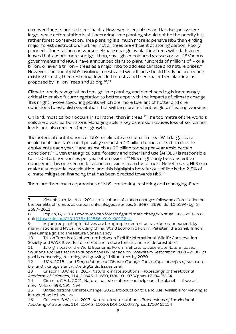removed forests and soil seed banks. However, in countries and landscapes where large-scale deforestation is still occurring, tree planting should not be the priority but rather forest conservation. Tree planting is a much more expensive NbS than ending major forest destruction. Further, not all trees are efficient at storing carbon. Poorly planned afforestation can worsen climate change by planting trees with dark green leaves that absorb more sunlight than, say, lighter coloured grasses or soil.7, 8 Various governments and NGOs have announced plans to plant hundreds of millions of - or a billion, or even a trillion - trees as a major NbS to address climate and nature crises.<sup>9</sup> However, the priority NbS involving forests and woodlands should firstly be protecting existing forests, then restoring degraded forests and then major tree planting, as proposed by Trillion Trees and 1t.org.10,11

Climate-ready revegetation through tree planting and direct seeding is increasingly critical to enable future vegetation to better cope with the impacts of climate change. This might involve favouring plants which are more tolerant of hotter and drier conditions to establish vegetation that will be more resilient as global heating worsens.

On land, most carbon occurs in soil rather than in trees.12 The top metre of the world's soils are a vast carbon store. Managing soils is key as erosion causes loss of soil carbon levels and also reduces forest growth.

The potential contributions of NbS for climate are not unlimited. With large scale implementation NbS could possibly sequester 10 billion tonnes of carbon dioxide equivalents each year,<sup>13</sup> and as much as 20 billion tonnes per year amid certain conditions.14 Given that agriculture, forestry and other land use (AFOLU) is responsible for ~10–12 billion tonnes per year of emissions 15 NbS might only be sufficient to counteract this one sector, let alone emissions from fossil fuels. Nonetheless, NbS can make a substantial contribution, and this highlights how far out of line is the 2.5% of climate mitigation financing that has been directed towards NbS.16

There are three main approaches of NbS: protecting, restoring and managing. Each

<sup>7</sup> Kirschbaum, M, et ali, 2011. Implications of albedo changes following afforestation on the benefits of forests as carbon sinks. *Biogeosciences*, 8, 3687–3696. doi:10.5194/bg-8- 3687-2011

<sup>8</sup> Popkin, G, 2019. How much can forests fight climate change? *Nature*, 565, 280-282. doi: https://doi.org/10.1038/d41586-019-00122-z

<sup>9</sup> Major tree planting initiatives are being implemented, or have been announced, by many nations and NGOs, including China, World Economic Forum, Pakistan, the Sahel, Trillion Tree Campaign and The Nature Conservancy.

<sup>10</sup> Trillion Trees is a joint venture between BirdLife International, Wildlife Conservation Society and WWF. It works to protect and restore forests and end deforestation.

<sup>11 1</sup>t.org is part of the World Economic Forum's efforts to accelerate Nature-based Solutions and was set up to support the UN Decade on Ecosystem Restoration 2021-2030. Its goal is conserving, restoring and growing 1 trillion trees by 2030.

<sup>12</sup> IUCN, 2015. *Land Degradation and Climate Change: The multiple benefits of sustainable land management in the drylands*. Issues brief.

<sup>13</sup> Griscom, B.W. et al. 2017, Natural climate solutions. *Proceedings of the National Academy of Sciences*, 114, 11645-11650; DOI: 10.1073/pnas.1710465114

<sup>14</sup> Girardin, C.A.J., 2021. Nature-based solutions can help cool the planet — if we act now. *Nature*, 593, 191-194.

<sup>15</sup> United Nations Climate Change, 2021. Introduction to Land Use. Available for viewing at Introduction to Land Use

<sup>16</sup> Griscom, B.W. et al. 2017, Natural climate solutions. *Proceedings of the National Academy of Sciences*, 114, 11645-11650; DOI: 10.1073/pnas.1710465114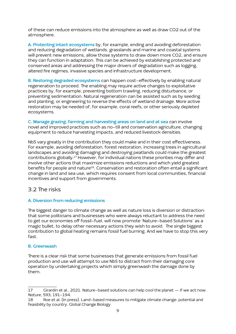<span id="page-8-0"></span>of these can reduce emissions into the atmosphere as well as draw CO2 out of the atmosphere.

**A. Protecting intact ecosystems** by, for example, ending and avoiding deforestation and reducing degradation of wetlands, grasslands and marine and coastal systems will prevent new emissions, allow those systems to draw down more CO2, and ensure they can function in adaptation. This can be achieved by establishing protected and conserved areas and addressing the major drivers of degradation such as logging, altered fire regimes, invasive species and infrastructure development.

**B. Restoring degraded ecosystems** can happen cost-effectively by enabling natural regeneration to proceed. The enabling may require active changes to exploitative practices by, for example, preventing bottom trawling, reducing disturbance, or preventing sedimentation. Natural regeneration can be assisted such as by seeding and planting, or engineering to reverse the effects of wetland drainage. More active restoration may be needed of, for example, coral reefs, or other seriously depleted ecosystems.

**C. Manage grazing, farming and harvesting areas on land and at sea** can involve novel and improved practices such as no-till and conservation agriculture, changing equipment to reduce harvesting impacts, and reduced livestock densities.

NbS vary greatly in the contribution they could make and in their cost effectiveness. For example, avoiding deforestation, forest restoration, increasing trees in agricultural landscapes and avoiding damaging and destroying peatlands could make the greatest contributions globally.17 However, for individual nations these priorities may differ and involve other actions that maximize emissions reductions and which yield greatest benefits for people and nature<sup>18</sup>. Conservation and restoration often entail a significant change in land and sea use, which requires consent from local communities, financial incentives and support from governments.

### 3.2 The risks

### **A. Diversion from reducing emissions**

The biggest danger to climate change as well as nature loss is diversion or distraction: that some politicians and businesses who were always reluctant to address the need to get our economies off fossil-fuel, will now promote 'Nature-based Solutions' as a magic bullet, to delay other necessary actions they wish to avoid. The single biggest contribution to global heating remains fossil fuel burning. And we have to stop this very fast.

#### **B. Greenwash**

There is a clear risk that some businesses that generate emissions from fossil fuel production and use will attempt to use NbS to distract from their damaging core operation by undertaking projects which simply greenwash the damage done by them.

<sup>17</sup> Girardin et al., 2021. Nature-based solutions can help cool the planet — if we act now. *Nature*, 593, 191-194.

<sup>18</sup> Roe et al. (In press). Land-based measures to mitigate climate change: potential and feasibility by country. Global Change Biology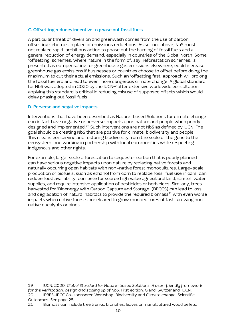#### **C. Offsetting reduces incentive to phase out fossil fuels**

A particular threat of diversion and greenwash comes from the use of carbon offsetting schemes in place of emissions reductions. As set out above, NbS must not replace rapid, ambitious action to phase out the burning of fossil fuels and a general reduction of energy demand, especially in countries of the Global North. Some 'offsetting' schemes, where nature in the form of, say, reforestation schemes, is presented as compensating for greenhouse gas emissions elsewhere, could increase greenhouse gas emissions if businesses or countries choose to offset before doing the maximum to cut their actual emissions. Such an 'offsetting first' approach will prolong the fossil fuel era and lead to even more dangerous climate change. A global standard for NbS was adopted in 2020 by the IUCN<sup>19</sup> after extensive worldwide consultation; applying this standard is critical in reducing misuse of supposed offsets which would delay phasing out fossil fuels.

#### **D. Perverse and negative impacts**

Interventions that have been described as Nature-based Solutions for climate change can in fact have negative or perverse impacts upon nature and people when poorly designed and implemented.<sup>20</sup> Such interventions are not NbS as defined by IUCN. The goal should be creating NbS that are positive for climate, biodiversity and people. This means conserving and restoring biodiversity from the scale of the gene to the ecosystem, and working in partnership with local communities while respecting Indigenous and other rights.

For example, large-scale afforestation to sequester carbon that is poorly planned can have serious negative impacts upon nature by replacing native forests and naturally occurring open habitats with non-native forest monocultures. Large-scale production of biofuels, such as ethanol from corn to replace fossil fuel use in cars, can reduce food availability, compete for scarce high value agricultural land, stretch water supplies, and require intensive application of pesticides or herbicides. Similarly, trees harvested for 'Bioenergy with Carbon Capture and Storage' (BECCS) can lead to loss and degradation of natural habitats to provide the required biomass $^{21}$  with even worse impacts when native forests are cleared to grow monocultures of fast-growing nonnative eucalypts or pines.

<sup>19</sup> IUCN, 2020. *Global Standard for Nature-based Solutions. A user-friendly framework for the verification, design and scaling up of NbS*. First edition. Gland, Switzerland: IUCN. 20 IPBES-IPCC Co-sponsored Workshop: Biodiversity and Climate change. Scientific

Outcomes. See page 25.

<sup>21</sup> Biomass can include tree trunks, branches, leaves or manufactured wood pellets.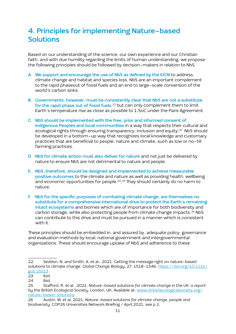## <span id="page-10-0"></span>**4. Principles for implementing Nature-based Solutions**

Based on our understanding of the science, our own experience and our Christian faith, and with due humility regarding the limits of human understanding, we propose the following principles should be followed by decision-makers in relation to NbS.

- **A. We support and encourage the use of NbS as defined by the IUCN** to address climate change and habitat and species loss. NbS are an important complement to the rapid phaseout of fossil fuels and an end to large-scale conversion of the world's carbon sinks.
- **B. Governments, however, must be consistently clear that NbS are not a substitute for the rapid phase out of fossil fuels**, 22 but can only complement them to limit Earth's temperature rise as close as possible to 1.5oC under the Paris Agreement.
- **C. NbS should be implemented with the free, prior and informed consent of Indigenous Peoples and local communities** in a way that respects their cultural and ecological rights through ensuring transparency, inclusion and equity;<sup>23</sup> NbS should be developed in a bottom-up way that recognizes local knowledge and customary practices that are beneficial to people, nature and climate, such as low or no-till farming practices.
- **D. NbS for climate action must also deliver for nature** and not just be delivered by nature to ensure NbS are not detrimental to nature and people.
- **E. NbS, therefore, should be designed and implemented to achieve measurable positive outcomes** to the climate and nature as well as providing health, wellbeing and economic opportunities for people.24, 25 They should certainly do no harm to nature.
- **F. NbS for the specific purposes of combating climate change, are themselves no substitute for a comprehensive international drive to protect the Earth's remaining intact ecosystems** and biomes which are of importance for both biodiversity and carbon storage, while also protecting people from climate change impacts.26 NbS can contribute to this drive and must be pursued in a manner which is consistent with it.

These principles should be embedded in, and assured by, adequate policy, governance and evaluation methods by local, national government and intergovernmental organizations. These should encourage uptake of NbS and adherence to these

Ibid.

<sup>22</sup> Seddon, N, and Smith, A, et al., 2021. Getting the message right on nature-based solutions to climate change. *Global Change Biology*, 27, 1518-1546. https://doi.org/10.1111/ gcb.15513<br>23 **Ibic** 

<sup>24</sup> Ibid.

<sup>25</sup> Stafford, R, et al., 2021. *Nature-based solutions for climate change in the UK: a report by the British Ecological Society*, London, UK. Available at: www.britishecologicalsociety.org/ nature-based-solutions

<sup>26</sup> Austin, W, et al, 2021. *Nature-based solutions for climate change, people and biodiversity*. COP26 Universities Network Briefing / April 2021, see p 2.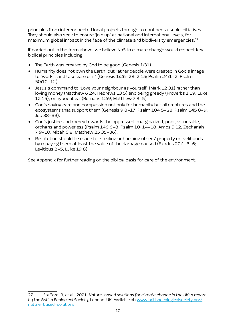principles from interconnected local projects through to continental scale initiatives. They should also seek to ensure 'join up' at national and international levels, for maximum global impact in the face of the climate and biodiversity emergencies;<sup>27</sup>

If carried out in the form above, we believe NbS to climate change would respect key biblical principles including:

- The Earth was created by God to be good (Genesis 1:31).
- Humanity does not own the Earth, but rather people were created in God's image to 'work it and take care of it' (Genesis 1:26-28; 2:15; Psalm 24:1-2; Psalm 50:10-12).
- Jesus's command to 'Love your neighbour as yourself' (Mark 12:31) rather than loving money (Matthew 6:24; Hebrews 13:5) and being greedy (Proverbs 1:19; Luke 12:15), or hypocritical (Romans 12:9, Matthew 7:3-5).
- God's saving care and compassion not only for humanity but all creatures and the ecosystems that support them (Genesis 9:8-17; Psalm 104:5-28; Psalm 145:8-9; Job 38-39).
- God's justice and mercy towards the oppressed, marginalized, poor, vulnerable, orphans and powerless (Psalm 146:6-8; Psalm 10: 14-18; Amos 5:12; Zechariah 7:9-10; Micah 6:8; Matthew 25:35-36).
- Restitution should be made for stealing or harming others' property or livelihoods by repaying them at least the value of the damage caused (Exodus 22:1, 3-6; Leviticus:2-5; Luke 19:8).

See Appendix for further reading on the biblical basis for care of the environment.

<sup>27</sup> Stafford, R, et al., 2021. *Nature-based solutions for climate change in the UK: a report by the British Ecological Society*, London, UK. Available at: www.britishecologicalsociety.org/ nature-based-solutions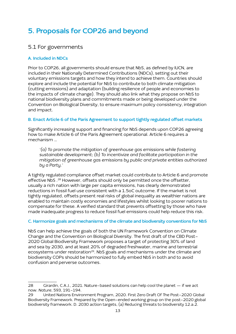# <span id="page-12-0"></span>**5. Proposals for COP26 and beyond**

### 5.1 For governments

### **A. Included in NDCs**

Prior to COP26, all governments should ensure that NbS, as defined by IUCN, are included in their Nationally Determined Contributions (NDCs), setting out their voluntary emissions targets and how they intend to achieve them. Countries should explore and include the potential for NbS to contribute to both climate mitigation (cutting emissions) and adaptation (building resilience of people and economies to the impacts of climate change). They should also link what they propose on NbS to national biodiversity plans and commitments made or being developed under the Convention on Biological Diversity, to ensure maximum policy consistency, integration and impact.

#### **B. Enact Article 6 of the Paris Agreement to support tightly regulated offset markets**

Significantly increasing support and financing for NbS depends upon COP26 agreeing how to make Article 6 of the Paris Agreement operational. Article 6 requires a mechanism …

 $\cdot$ (a) To promote the mitigation of greenhouse gas emissions while fostering *sustainable development; (b) To incentivize and facilitate participation in the mitigation of greenhouse gas emissions by public and private entities authorized by a Party.'*

A tightly regulated compliance offset market could contribute to Article 6 and promote effective NbS<sup>28</sup> However, offsets should only be permitted once the offsetter, usually a rich nation with large per capita emissions, has clearly demonstrated reductions in fossil fuel use consistent with a 1.5oC outcome. If the market is not tightly regulated, offsets present real risks of global inequality as wealthier nations are enabled to maintain costly economies and lifestyles whilst looking to poorer nations to compensate for these. A verified standard that prevents offsetting by those who have made inadequate progress to reduce fossil fuel emissions could help reduce this risk.

#### **C. Harmonize goals and mechanisms of the climate and biodiversity conventions for NbS**

NbS can help achieve the goals of both the UN Framework Convention on Climate Change and the Convention on Biological Diversity. The first draft of the CBD Post-2020 Global Biodiversity Framework proposes a target of protecting 30% of land and sea by 2030, and at least 20% of degraded freshwater, marine and terrestrial ecosystems under restoration<sup>29</sup>. NbS goals and mechanisms under the climate and biodiversity COPs should be harmonized to fully embed NbS in both and to avoid confusion and perverse outcomes.

<sup>28</sup> Girardin, C.A.J., 2021. Nature-based solutions can help cool the planet — if we act now. *Nature*, 593, 191-194.

<sup>29</sup> United Nations Environment Program, 2020. First Zero Draft Of The Post-2020 Global Biodiversity Framework. Prepared by the Open-ended working group on the post-2020 global biodiversity framework. D. 2030 action targets, (a) Reducing threats to biodiversity 12.a.2.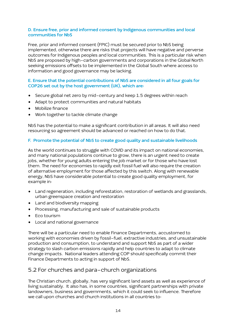#### <span id="page-13-0"></span>**D. Ensure free, prior and informed consent by Indigenous communities and local communities for NbS**

Free, prior and informed consent (FPIC) must be secured prior to NbS being implemented, otherwise there are risks that projects will have negative and perverse outcomes for Indigenous peoples and local communities. This is a particular risk when NbS are proposed by high-carbon governments and corporations in the Global North seeking emissions offsets to be implemented in the Global South where access to information and good governance may be lacking.

#### **E. Ensure that the potential contributions of NbS are considered in all four goals for COP26 set out by the host government (UK), which are:**

- Secure global net zero by mid-century and keep 1.5 degrees within reach
- Adapt to protect communities and natural habitats
- Mobilize finance
- Work together to tackle climate change

NbS has the potential to make a significant contribution in all areas. It will also need resourcing so agreement should be advanced or reached on how to do that.

### **F. Promote the potential of NbS to create good quality and sustainable livelihoods**

As the world continues to struggle with COVID and its impact on national economies, and many national populations continue to grow, there is an urgent need to create jobs, whether for young adults entering the job market or for those who have lost them. The need for economies to rapidly exit fossil fuel will also require the creation of alternative employment for those affected by this switch. Along with renewable energy, NbS have considerable potential to create good quality employment, for example in:

- Land regeneration, including reforestation, restoration of wetlands and grasslands, urban greenspace creation and restoration
- Land and biodiversity mapping
- Processing, manufacturing and sale of sustainable products
- Eco tourism
- Local and national governance

There will be a particular need to enable Finance Departments, accustomed to working with economies driven by fossil-fuel, extractive industries, and unsustainable production and consumption, to understand and support NbS as part of a wider strategy to slash carbon emissions rapidly and help countries to adapt to climate change impacts. National leaders attending COP should specifically commit their Finance Departments to acting in support of NbS.

### 5.2 For churches and para-church organizations

The Christian church, globally, has very significant land assets as well as experience of living sustainably. It also has, in some countries, significant partnerships with private landowners, business and governments, which it could seek to influence. Therefore we call upon churches and church institutions in all countries to: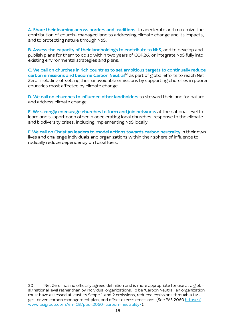**A. Share their learning across borders and traditions**, to accelerate and maximize the contribution of church-managed land to addressing climate change and its impacts, and to protecting nature through NbS.

**B. Assess the capacity of their landholdings to contribute to NbS**, and to develop and publish plans for them to do so within two years of COP26, or integrate NbS fully into existing environmental strategies and plans.

**C. We call on churches in rich countries to set ambitious targets to continually reduce carbon emissions and become Carbon Neutral**30 as part of global efforts to reach Net Zero, including offsetting their unavoidable emissions by supporting churches in poorer countries most affected by climate change.

**D. We call on churches to influence other landholders** to steward their land for nature and address climate change.

**E. We strongly encourage churches to form and join networks** at the national level to learn and support each other in accelerating local churches' response to the climate and biodiversity crises, including implementing NbS locally.

**F. We call on Christian leaders to model actions towards carbon neutrality** in their own lives and challenge individuals and organizations within their sphere of influence to radically reduce dependency on fossil fuels.

<sup>30 &#</sup>x27;Net Zero' has no officially agreed definition and is more appropriate for use at a global/national level rather than by individual organizations. To be 'Carbon Neutral' an organization must have assessed at least its Scope 1 and 2 emissions, reduced emissions through a target-driven carbon management plan, and offset excess emissions. (See PAS 2060 https:// www.bsigroup.com/en-GB/pas-2060-carbon-neutrality/).